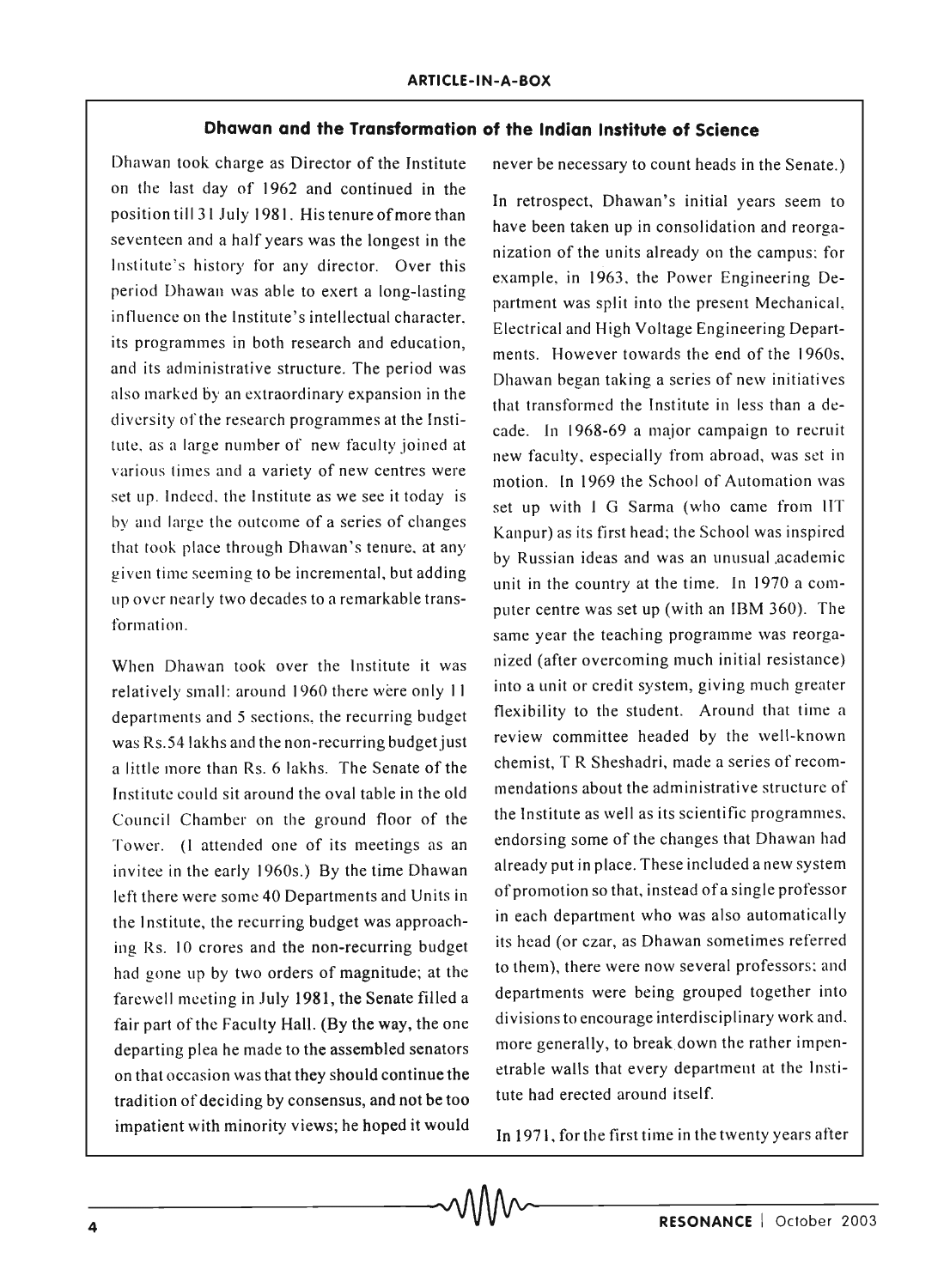## **Dhawan and the Transformation of the** Indian Institute **of Science**

Dhawan took charge as Director of the Institute on the last day of 1962 and continued in the position til131 July 1981. His tenure of more than seventeen and a half years was the longest in the Institute's history for any director. Over this period Dhawan was able to exert a long-lasting influence on the Institute's intellectual character. its programmes in both research and education, and its administrative structure. The period was also marked by an extraordinary expansion in the diversity of the research programmes at the Institute, as a large number of new faculty joined at various times and a variety of new centres were set up. Indeed, the Institute as we see it today is by and large the outcome of a series of changes that took place through Dhawan's tenure, at any given time seeming to be incremental, but adding up over nearly two decades to a remarkable transformation.

When Dhawan took over the Institute it was relatively small: around 1960 there were only 11 departments and 5 sections, the recurring budget was RS.54lakhs and the non-recurring budget just a little more than Rs. 6 lakhs. The Senate of the Institute could sit around the oval table in the old Council Chamber on the ground floor of the Tower. (I attended one of its meetings as an invitee in the early 1960s.) By the time Dhawan left there were some 40 Departments and Units in the Institute, the recurring budget was approaching Rs. 10 crores and the non-recurring budget had gone up by two orders of magnitude; at the farewell meeting in July 1981, the Senate filled a fair part of the Faculty Hall. (By the way, the one departing plea he made to the assembled senators on that occasion was that they should continue the tradition of deciding by consensus, and not be too impatient with minority views; he hoped it would impatient with minority views; he hoped it would<br>
In 1971, for the first time in the twenty years after<br> **A**<br> **RESONANCE** | October 2003

never be necessary to count heads in the Senate.)

In retrospect, Dhawan's initial years seem to have been taken up in consolidation and reorganization of the units already on the campus: for example, in 1963, the Power Engineering Department was split into the present Mechanical, Electrical and High Voltage Engineering Departments. However towards the end of the 1960s, Dhawan began taking a series of new initiatives that transformed the Institute in less than a decade. In 1968-69 a major campaign to recruit new faculty, especially from abroad, was set in motion. In 1969 the School of Automation was set up with I G Sarma (who came from IIT Kanpur) as its first head; the School was inspired by Russian ideas and was an unusual ,academic unit in the country at the time. In 1970 a computer centre was set up (with an IBM 360). The same year the teaching programme was reorganized (after overcoming much initial resistance) into a unit or credit system, giving much greater flexibility to the student. Around that time a review committee headed by the well-known chemist, T R Sheshadri, made a series of recommendations about the administrative structure of the Institute as well as its scientific programmes, endorsing some of the changes that Dhawan had already put in place. These included anew system of promotion so that, instead ofa single professor in each department who was also automatically its head (or czar, as Dhawan sometimes referred to them), there were now several professors; and departments were being grouped together into divisions to encourage interdisciplinary work and. more generally, to break down the rather impenetrable walls that every department at the Institute had erected around itself.

**In** 1971, for the first time in the twenty years after